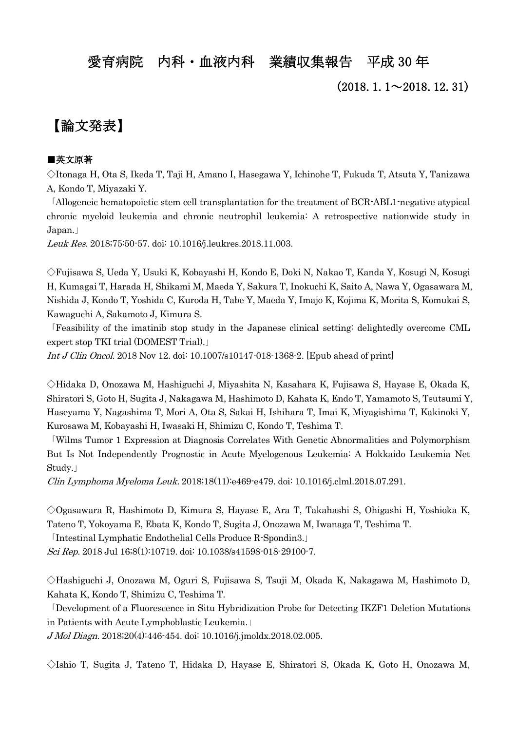# 愛育病院 内科・血液内科 業績収集報告 平成 30 年

 $(2018.1, 1 \sim 2018.12.31)$ 

# 【論文発表】

# ■英文原著

◇Itonaga H, Ota S, Ikeda T, Taji H, Amano I, Hasegawa Y, Ichinohe T, Fukuda T, Atsuta Y, Tanizawa A, Kondo T, Miyazaki Y.

「Allogeneic hematopoietic stem cell transplantation for the treatment of BCR-ABL1-negative atypical chronic myeloid leukemia and chronic neutrophil leukemia: A retrospective nationwide study in Japan.」

Leuk Res. 2018;75:50-57. doi: 10.1016/j.leukres.2018.11.003.

◇Fujisawa S, Ueda Y, Usuki K, Kobayashi H, Kondo E, Doki N, Nakao T, Kanda Y, Kosugi N, Kosugi H, Kumagai T, Harada H, Shikami M, Maeda Y, Sakura T, Inokuchi K, Saito A, Nawa Y, Ogasawara M, Nishida J, Kondo T, Yoshida C, Kuroda H, Tabe Y, Maeda Y, Imajo K, Kojima K, Morita S, Komukai S, Kawaguchi A, Sakamoto J, Kimura S.

「Feasibility of the imatinib stop study in the Japanese clinical setting: delightedly overcome CML expert stop TKI trial (DOMEST Trial).」

Int J Clin Oncol. 2018 Nov 12. doi: 10.1007/s10147-018-1368-2. [Epub ahead of print]

◇Hidaka D, Onozawa M, Hashiguchi J, Miyashita N, Kasahara K, Fujisawa S, Hayase E, Okada K, Shiratori S, Goto H, Sugita J, Nakagawa M, Hashimoto D, Kahata K, Endo T, Yamamoto S, Tsutsumi Y, Haseyama Y, Nagashima T, Mori A, Ota S, Sakai H, Ishihara T, Imai K, Miyagishima T, Kakinoki Y, Kurosawa M, Kobayashi H, Iwasaki H, Shimizu C, Kondo T, Teshima T.

「Wilms Tumor 1 Expression at Diagnosis Correlates With Genetic Abnormalities and Polymorphism But Is Not Independently Prognostic in Acute Myelogenous Leukemia: A Hokkaido Leukemia Net Study.」

Clin Lymphoma Myeloma Leuk. 2018;18(11):e469-e479. doi: 10.1016/j.clml.2018.07.291.

◇Ogasawara R, Hashimoto D, Kimura S, Hayase E, Ara T, Takahashi S, Ohigashi H, Yoshioka K, Tateno T, Yokoyama E, Ebata K, Kondo T, Sugita J, Onozawa M, Iwanaga T, Teshima T.

「Intestinal Lymphatic Endothelial Cells Produce R-Spondin3.」

Sci Rep. 2018 Jul 16;8(1):10719. doi: 10.1038/s41598-018-29100-7.

◇Hashiguchi J, Onozawa M, Oguri S, Fujisawa S, Tsuji M, Okada K, Nakagawa M, Hashimoto D, Kahata K, Kondo T, Shimizu C, Teshima T.

「Development of a Fluorescence in Situ Hybridization Probe for Detecting IKZF1 Deletion Mutations in Patients with Acute Lymphoblastic Leukemia.」

J Mol Diagn. 2018;20(4):446-454. doi: 10.1016/j.jmoldx.2018.02.005.

◇Ishio T, Sugita J, Tateno T, Hidaka D, Hayase E, Shiratori S, Okada K, Goto H, Onozawa M,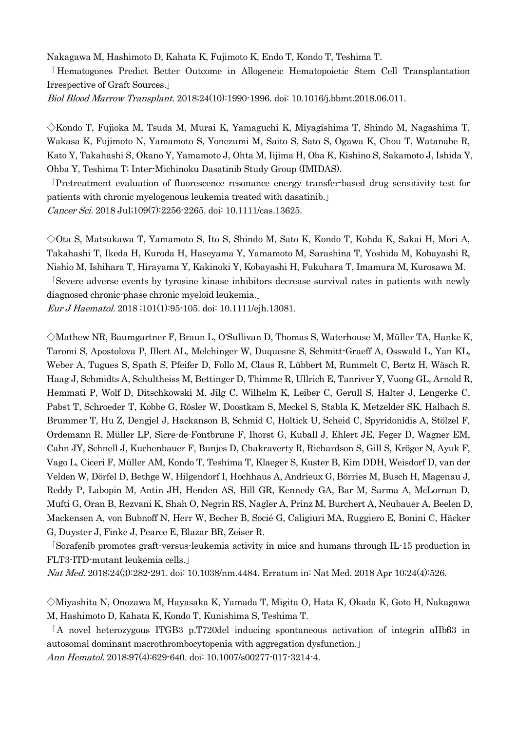Nakagawa M, Hashimoto D, Kahata K, Fujimoto K, Endo T, Kondo T, Teshima T.

「Hematogones Predict Better Outcome in Allogeneic Hematopoietic Stem Cell Transplantation Irrespective of Graft Sources.」

Biol Blood Marrow Transplant. 2018;24(10):1990-1996. doi: 10.1016/j.bbmt.2018.06.011.

◇Kondo T, Fujioka M, Tsuda M, Murai K, Yamaguchi K, Miyagishima T, Shindo M, Nagashima T, Wakasa K, Fujimoto N, Yamamoto S, Yonezumi M, Saito S, Sato S, Ogawa K, Chou T, Watanabe R, Kato Y, Takahashi S, Okano Y, Yamamoto J, Ohta M, Iijima H, Oba K, Kishino S, Sakamoto J, Ishida Y, Ohba Y, Teshima T; Inter-Michinoku Dasatinib Study Group (IMIDAS).

「Pretreatment evaluation of fluorescence resonance energy transfer-based drug sensitivity test for patients with chronic myelogenous leukemia treated with dasatinib.」 Cancer Sci. 2018 Jul;109(7):2256-2265. doi: 10.1111/cas.13625.

◇Ota S, Matsukawa T, Yamamoto S, Ito S, Shindo M, Sato K, Kondo T, Kohda K, Sakai H, Mori A, Takahashi T, Ikeda H, Kuroda H, Haseyama Y, Yamamoto M, Sarashina T, Yoshida M, Kobayashi R, Nishio M, Ishihara T, Hirayama Y, Kakinoki Y, Kobayashi H, Fukuhara T, Imamura M, Kurosawa M.

「Severe adverse events by tyrosine kinase inhibitors decrease survival rates in patients with newly diagnosed chronic-phase chronic myeloid leukemia.」

Eur J Haematol. 2018 ;101(1):95-105. doi: 10.1111/ejh.13081.

◇Mathew NR, Baumgartner F, Braun L, O'Sullivan D, Thomas S, Waterhouse M, Müller TA, Hanke K, Taromi S, Apostolova P, Illert AL, Melchinger W, Duquesne S, Schmitt-Graeff A, Osswald L, Yan KL, Weber A, Tugues S, Spath S, Pfeifer D, Follo M, Claus R, Lübbert M, Rummelt C, Bertz H, Wäsch R, Haag J, Schmidts A, Schultheiss M, Bettinger D, Thimme R, Ullrich E, Tanriver Y, Vuong GL, Arnold R, Hemmati P, Wolf D, Ditschkowski M, Jilg C, Wilhelm K, Leiber C, Gerull S, Halter J, Lengerke C, Pabst T, Schroeder T, Kobbe G, Rösler W, Doostkam S, Meckel S, Stabla K, Metzelder SK, Halbach S, Brummer T, Hu Z, Dengjel J, Hackanson B, Schmid C, Holtick U, Scheid C, Spyridonidis A, Stölzel F, Ordemann R, Müller LP, Sicre-de-Fontbrune F, Ihorst G, Kuball J, Ehlert JE, Feger D, Wagner EM, Cahn JY, Schnell J, Kuchenbauer F, Bunjes D, Chakraverty R, Richardson S, Gill S, Kröger N, Ayuk F, Vago L, Ciceri F, Müller AM, Kondo T, Teshima T, Klaeger S, Kuster B, Kim DDH, Weisdorf D, van der Velden W, Dörfel D, Bethge W, Hilgendorf I, Hochhaus A, Andrieux G, Börries M, Busch H, Magenau J, Reddy P, Labopin M, Antin JH, Henden AS, Hill GR, Kennedy GA, Bar M, Sarma A, McLornan D, Mufti G, Oran B, Rezvani K, Shah O, Negrin RS, Nagler A, Prinz M, Burchert A, Neubauer A, Beelen D, Mackensen A, von Bubnoff N, Herr W, Becher B, Socié G, Caligiuri MA, Ruggiero E, Bonini C, Häcker G, Duyster J, Finke J, Pearce E, Blazar BR, Zeiser R.

「Sorafenib promotes graft-versus-leukemia activity in mice and humans through IL-15 production in FLT3-ITD-mutant leukemia cells.」

Nat Med. 2018;24(3):282-291. doi: 10.1038/nm.4484. Erratum in: Nat Med. 2018 Apr 10;24(4):526.

◇Miyashita N, Onozawa M, Hayasaka K, Yamada T, Migita O, Hata K, Okada K, Goto H, Nakagawa M, Hashimoto D, Kahata K, Kondo T, Kunishima S, Teshima T.

「A novel heterozygous ITGB3 p.T720del inducing spontaneous activation of integrin αIIbβ3 in autosomal dominant macrothrombocytopenia with aggregation dysfunction.」

Ann Hematol. 2018;97(4):629-640. doi: 10.1007/s00277-017-3214-4.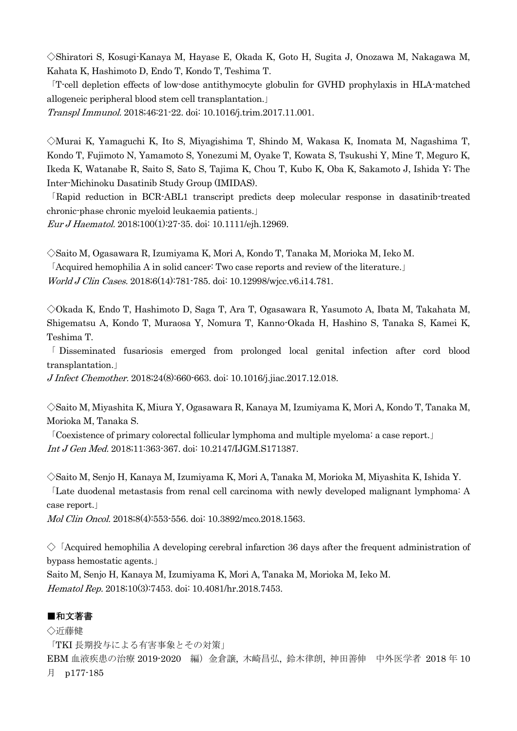◇Shiratori S, Kosugi-Kanaya M, Hayase E, Okada K, Goto H, Sugita J, Onozawa M, Nakagawa M, Kahata K, Hashimoto D, Endo T, Kondo T, Teshima T.

「T-cell depletion effects of low-dose antithymocyte globulin for GVHD prophylaxis in HLA-matched allogeneic peripheral blood stem cell transplantation.」

Transpl Immunol. 2018;46:21-22. doi: 10.1016/j.trim.2017.11.001.

◇Murai K, Yamaguchi K, Ito S, Miyagishima T, Shindo M, Wakasa K, Inomata M, Nagashima T, Kondo T, Fujimoto N, Yamamoto S, Yonezumi M, Oyake T, Kowata S, Tsukushi Y, Mine T, Meguro K, Ikeda K, Watanabe R, Saito S, Sato S, Tajima K, Chou T, Kubo K, Oba K, Sakamoto J, Ishida Y; The Inter-Michinoku Dasatinib Study Group (IMIDAS).

「Rapid reduction in BCR-ABL1 transcript predicts deep molecular response in dasatinib-treated chronic-phase chronic myeloid leukaemia patients.」

Eur J Haematol. 2018;100(1):27-35. doi: 10.1111/ejh.12969.

◇Saito M, Ogasawara R, Izumiyama K, Mori A, Kondo T, Tanaka M, Morioka M, Ieko M.

「Acquired hemophilia A in solid cancer: Two case reports and review of the literature.」

World J Clin Cases. 2018;6(14):781-785. doi: 10.12998/wjcc.v6.i14.781.

◇Okada K, Endo T, Hashimoto D, Saga T, Ara T, Ogasawara R, Yasumoto A, Ibata M, Takahata M, Shigematsu A, Kondo T, Muraosa Y, Nomura T, Kanno-Okada H, Hashino S, Tanaka S, Kamei K, Teshima T.

「 Disseminated fusariosis emerged from prolonged local genital infection after cord blood transplantation.」

J Infect Chemother. 2018;24(8):660-663. doi: 10.1016/j.jiac.2017.12.018.

◇Saito M, Miyashita K, Miura Y, Ogasawara R, Kanaya M, Izumiyama K, Mori A, Kondo T, Tanaka M, Morioka M, Tanaka S.

「Coexistence of primary colorectal follicular lymphoma and multiple myeloma: a case report.」 Int J Gen Med. 2018;11:363-367. doi: 10.2147/IJGM.S171387.

◇Saito M, Senjo H, Kanaya M, Izumiyama K, Mori A, Tanaka M, Morioka M, Miyashita K, Ishida Y. 「Late duodenal metastasis from renal cell carcinoma with newly developed malignant lymphoma: A

case report.」

Mol Clin Oncol. 2018;8(4):553-556. doi: 10.3892/mco.2018.1563.

 $\Diamond$  [Acquired hemophilia A developing cerebral infarction 36 days after the frequent administration of bypass hemostatic agents.」

Saito M, Senjo H, Kanaya M, Izumiyama K, Mori A, Tanaka M, Morioka M, Ieko M. Hematol Rep. 2018;10(3):7453. doi: 10.4081/hr.2018.7453.

# ■和文著書

◇近藤健

「TKI 長期投与による有害事象とその対策」

EBM 血液疾患の治療 2019-2020 編) 金倉譲, 木崎昌弘, 鈴木律朗, 神田善伸 中外医学者 2018 年 10 月 p177-185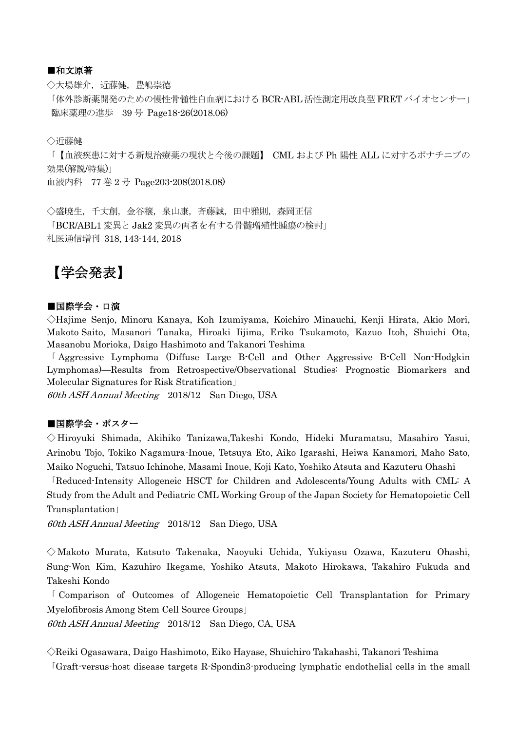# ■和文原著

◇大場雄介,近藤健,豊嶋崇徳

「体外診断薬開発のための慢性骨髄性白血病における BCR-ABL 活性測定用改良型 FRET バイオセンサー」 臨床薬理の進歩 39 号 Page18-26(2018.06)

◇近藤健

「【血液疾患に対する新規治療薬の現状と今後の課題】 CML および Ph 陽性 ALL に対するポナチニブの 効果(解説/特集)」

血液内科 77 巻 2 号 Page203-208(2018.08)

◇盛暁生,千丈創,金谷穣,泉山康,斉藤誠,田中雅則,森岡正信 「BCR/ABL1 変異と Jak2 変異の両者を有する骨髄増殖性腫瘍の検討」 札医通信増刊 318, 143-144, 2018

# 【学会発表】

# ■国際学会・口演

◇Hajime Senjo, Minoru Kanaya, Koh Izumiyama, Koichiro Minauchi, Kenji Hirata, Akio Mori, Makoto Saito, Masanori Tanaka, Hiroaki Iijima, Eriko Tsukamoto, Kazuo Itoh, Shuichi Ota, Masanobu Morioka, Daigo Hashimoto and Takanori Teshima

「 Aggressive Lymphoma (Diffuse Large B-Cell and Other Aggressive B-Cell Non-Hodgkin Lymphomas)—Results from Retrospective/Observational Studies: Prognostic Biomarkers and Molecular Signatures for Risk Stratification」

60th ASH Annual Meeting 2018/12 San Diego, USA

# ■国際学会・ポスター

◇Hiroyuki Shimada, Akihiko Tanizawa,Takeshi Kondo, Hideki Muramatsu, Masahiro Yasui, Arinobu Tojo, Tokiko Nagamura-Inoue, Tetsuya Eto, Aiko Igarashi, Heiwa Kanamori, Maho Sato, Maiko Noguchi, Tatsuo Ichinohe, Masami Inoue, Koji Kato, Yoshiko Atsuta and Kazuteru Ohashi

「Reduced-Intensity Allogeneic HSCT for Children and Adolescents/Young Adults with CML: A Study from the Adult and Pediatric CML Working Group of the Japan Society for Hematopoietic Cell Transplantation」

60th ASH Annual Meeting 2018/12 San Diego, USA

◇ Makoto Murata, Katsuto Takenaka, Naoyuki Uchida, Yukiyasu Ozawa, Kazuteru Ohashi, Sung-Won Kim, Kazuhiro Ikegame, Yoshiko Atsuta, Makoto Hirokawa, Takahiro Fukuda and Takeshi Kondo

「 Comparison of Outcomes of Allogeneic Hematopoietic Cell Transplantation for Primary Myelofibrosis Among Stem Cell Source Groups」

60th ASH Annual Meeting 2018/12 San Diego, CA, USA

◇Reiki Ogasawara, Daigo Hashimoto, Eiko Hayase, Shuichiro Takahashi, Takanori Teshima 「Graft-versus-host disease targets R-Spondin3-producing lymphatic endothelial cells in the small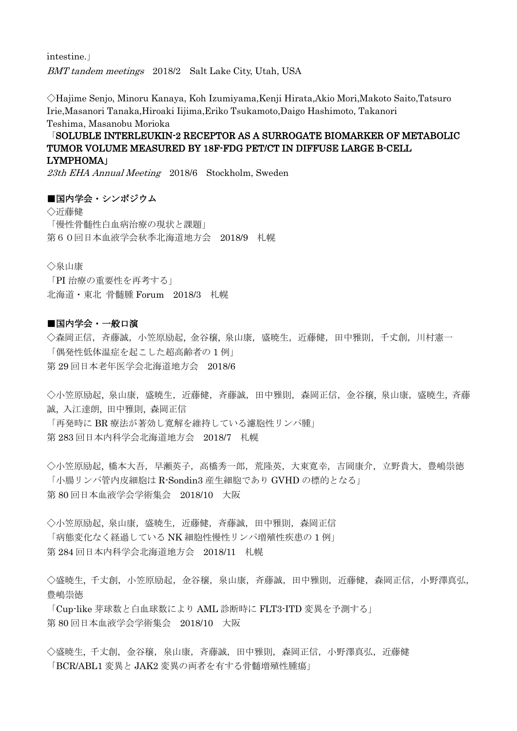intestine.」 BMT tandem meetings 2018/2 Salt Lake City, Utah, USA

◇Hajime Senjo, Minoru Kanaya, Koh Izumiyama,Kenji Hirata,Akio Mori,Makoto Saito,Tatsuro Irie,Masanori Tanaka,Hiroaki Iijima,Eriko Tsukamoto,Daigo Hashimoto, Takanori Teshima, Masanobu Morioka

# 「SOLUBLE INTERLEUKIN-2 RECEPTOR AS A SURROGATE BIOMARKER OF METABOLIC TUMOR VOLUME MEASURED BY 18F-FDG PET/CT IN DIFFUSE LARGE B-CELL LYMPHOMA」

23th EHA Annual Meeting 2018/6 Stockholm, Sweden

#### ■国内学会・シンポジウム

◇近藤健 「慢性骨髄性白血病治療の現状と課題」 第60回日本血液学会秋季北海道地方会 2018/9 札幌

◇泉山康

「PI 治療の重要性を再考する」 北海道・東北 骨髄腫 Forum 2018/3 札幌

### ■国内学会・一般口演

◇森岡正信,斉藤誠,小笠原励起,金谷穣, 泉山康,盛暁生,近藤健,田中雅則,千丈創,川村憲一 「偶発性低体温症を起こした超高齢者の 1 例」 第 29 回日本老年医学会北海道地方会 2018/6

◇小笠原励起, 泉山康, 盛暁生, 近藤健, 斉藤誠, 田中雅則, 森岡正信, 金谷穣, 泉山康, 盛暁生, 斉藤 誠, 入江達朗, 田中雅則, 森岡正信

「再発時に BR 療法が著効し寛解を維持している濾胞性リンパ腫」 第 283 回日本内科学会北海道地方会 2018/7 札幌

◇小笠原励起, 橋本大吾,早瀬英子,高橋秀一郎,荒隆英,大東寛幸,吉岡康介,立野貴大,豊嶋崇徳 「小腸リンパ管内皮細胞は R-Sondin3 産生細胞であり GVHD の標的となる」 第 80 回日本血液学会学術集会 2018/10 大阪

◇小笠原励起, 泉山康,盛暁生,近藤健,斉藤誠,田中雅則,森岡正信 「病態変化なく経過している NK 細胞性慢性リンパ増殖性疾患の 1 例」 第 284 回日本内科学会北海道地方会 2018/11 札幌

◇盛暁生, 千丈創,小笠原励起,金谷穣,泉山康,斉藤誠,田中雅則,近藤健,森岡正信,小野澤真弘, 豊嶋崇徳

「Cup-like 芽球数と白血球数により AML 診断時に FLT3-ITD 変異を予測する」 第 80 回日本血液学会学術集会 2018/10 大阪

◇盛暁生, 千丈創, 金谷穣, 泉山康, 斉藤誠, 田中雅則, 森岡正信, 小野澤真弘, 近藤健 「BCR/ABL1 変異と JAK2 変異の両者を有する骨髄増殖性腫瘍」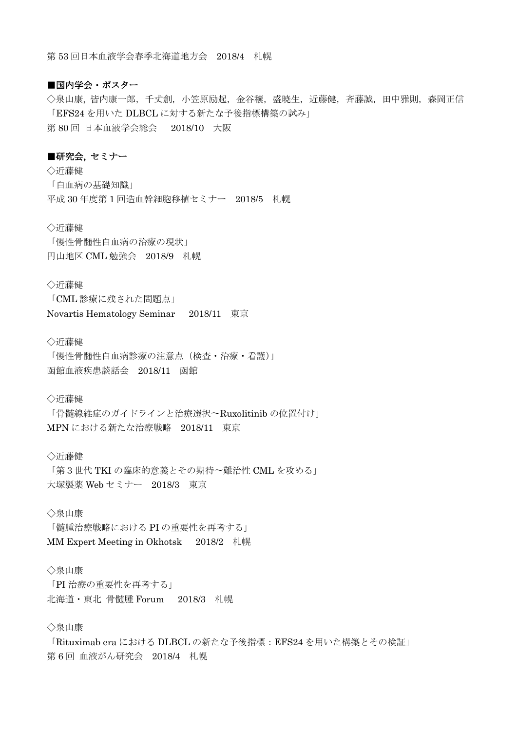第 53 回日本血液学会春季北海道地方会 2018/4 札幌

# ■国内学会・ポスター

◇泉山康, 皆内康一郎, 千丈創, 小笠原励起, 金谷穣, 盛暁生, 近藤健, 斉藤誠, 田中雅則, 森岡正信 「EFS24 を用いた DLBCL に対する新たな予後指標構築の試み」 第 80 回 日本血液学会総会 2018/10 大阪

### ■研究会, セミナー

◇近藤健 「白血病の基礎知識」 平成 30 年度第 1 回造血幹細胞移植セミナー 2018/5 札幌

#### ◇近藤健

「慢性骨髄性白血病の治療の現状」 円山地区 CML 勉強会 2018/9 札幌

#### ◇近藤健

「CML 診療に残された問題点」 Novartis Hematology Seminar 2018/11 東京

#### ◇近藤健

「慢性骨髄性白血病診療の注意点 (検査・治療・看護)」 函館血液疾患談話会 2018/11 函館

### ◇近藤健

「骨髄線維症のガイドラインと治療選択〜Ruxolitinib の位置付け」 MPN における新たな治療戦略 2018/11 東京

#### ◇近藤健

「第3世代 TKI の臨床的意義とその期待〜難治性 CML を攻める」 大塚製薬 Web セミナー 2018/3 東京

### ◇泉山康

「髄腫治療戦略における PI の重要性を再考する」 MM Expert Meeting in Okhotsk 2018/2 札幌

# ◇泉山康

「PI 治療の重要性を再考する」 北海道・東北 骨髄腫 Forum 2018/3 札幌

# ◇泉山康

「Rituximab era における DLBCL の新たな予後指標:EFS24 を用いた構築とその検証」 第 6 回 血液がん研究会 2018/4 札幌